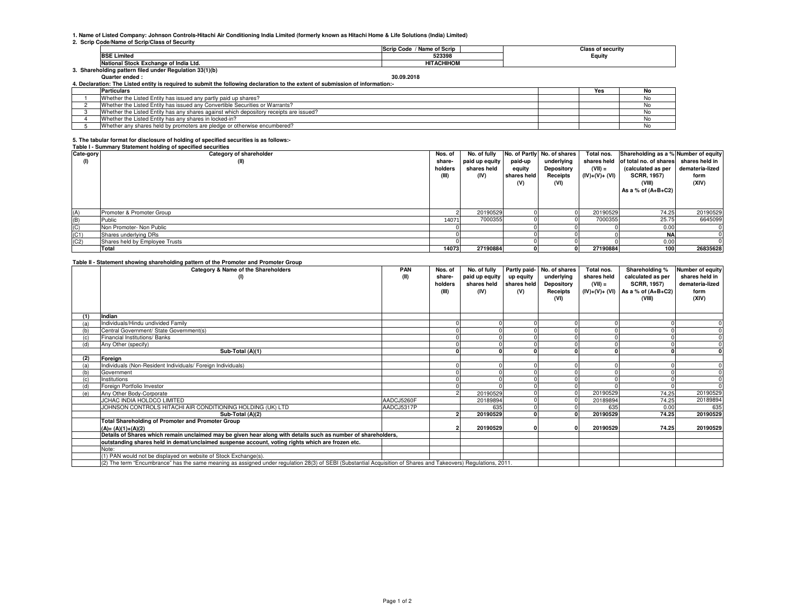# **1. Name of Listed Company: Johnson Controls-Hitachi Air Conditioning India Limited (formerly known as Hitachi Home & Life Solutions (India) Limited) 2. Scrip Code/Name of Scrip/Class of Security**

|                                                        | / Name of Scrip<br><b>Scrip Code</b> | <b>Class of security</b> |  |  |  |  |  |  |  |
|--------------------------------------------------------|--------------------------------------|--------------------------|--|--|--|--|--|--|--|
| <b>BSE Limited</b>                                     | 523398                               | Equity                   |  |  |  |  |  |  |  |
| National Stock Exchange of India Ltd.                  | <b>HITACHIHOM</b>                    |                          |  |  |  |  |  |  |  |
| . Shareholding pattern filed under Regulation 33(1)(b) |                                      |                          |  |  |  |  |  |  |  |

**Quarter ended : 30.09.2018**

| 4. Declaration: The Listed entity is required to submit the following declaration to the extent of submission of information:- |                                                                                        |  |     |    |  |  |
|--------------------------------------------------------------------------------------------------------------------------------|----------------------------------------------------------------------------------------|--|-----|----|--|--|
|                                                                                                                                | <b>Particulars</b>                                                                     |  | Yes | No |  |  |
|                                                                                                                                | Whether the Listed Entity has issued any partly paid up shares?                        |  |     | No |  |  |
|                                                                                                                                | Whether the Listed Entity has issued any Convertible Securities or Warrants?           |  |     |    |  |  |
|                                                                                                                                | Whether the Listed Entity has any shares against which depository receipts are issued? |  |     |    |  |  |
|                                                                                                                                | Whether the Listed Entity has any shares in locked-in?                                 |  |     | ΝO |  |  |
|                                                                                                                                | Whether any shares held by promoters are pledge or otherwise encumbered?               |  |     |    |  |  |

## **5. The tabular format for disclosure of holding of specified securities is as follows:-**

#### **Table I - Summary Statement holding of specified securities**

| Cate-gory       | Category of shareholder        | Nos. of | No. of fully   |             | No. of Partly No. of shares | Total nos.     | Shareholding as a % Number of equity |                 |
|-----------------|--------------------------------|---------|----------------|-------------|-----------------------------|----------------|--------------------------------------|-----------------|
| (1)             | (II)                           | share-  | paid up equity | paid-up     | underlying                  | shares held    | of total no. of shares               | shares held in  |
|                 |                                | holders | shares held    | equity      | Depository                  | $(VII) =$      | (calculated as per                   | demateria-lized |
|                 |                                | (III)   | (IV)           | shares held | Receipts                    | $(IV)+(V)+(V)$ | <b>SCRR, 1957)</b>                   | form            |
|                 |                                |         |                | (V)         | (VI)                        |                | (VIII)                               | (XIV)           |
|                 |                                |         |                |             |                             |                | As a % of $(A+B+C2)$                 |                 |
|                 |                                |         |                |             |                             |                |                                      |                 |
|                 |                                |         |                |             |                             |                |                                      |                 |
| (A)             | Promoter & Promoter Group      |         | 20190529       |             |                             | 20190529       | 74.25                                | 20190529        |
| (B)             | Public                         | 14071   | 7000355        |             |                             | 7000355        | 25.75                                | 6645099         |
|                 | Non Promoter- Non Public       |         |                |             |                             |                | 0.00                                 |                 |
| $(C)$<br>$(C1)$ | Shares underlying DRs          |         |                |             |                             |                | <b>NA</b>                            |                 |
| (C2)            | Shares held by Employee Trusts |         |                |             |                             |                | 0.00                                 |                 |
|                 | Total                          | 14073   | 27190884       |             |                             | 27190884       | 100                                  | 26835628        |

|     | Category & Name of the Shareholders                                                                                                                                                                                                | <b>PAN</b> | Nos. of | No. of fully   |             | Partly paid- No. of shares | Total nos.  | Shareholding %                       | Number of equity |
|-----|------------------------------------------------------------------------------------------------------------------------------------------------------------------------------------------------------------------------------------|------------|---------|----------------|-------------|----------------------------|-------------|--------------------------------------|------------------|
|     | (1)                                                                                                                                                                                                                                | (II)       | share-  | paid up equity | up equity   | underlying                 | shares held | calculated as per                    | shares held in   |
|     |                                                                                                                                                                                                                                    |            | holders | shares held    | shares held | <b>Depository</b>          | $(VII) =$   | <b>SCRR. 1957)</b>                   | demateria-lized  |
|     |                                                                                                                                                                                                                                    |            | (III)   | (IV)           | (V)         | Receipts                   |             | $(IV)+(V)+(VI)$ As a % of $(A+B+C2)$ | form             |
|     |                                                                                                                                                                                                                                    |            |         |                |             | (VI)                       |             | (VIII)                               | (XIV)            |
|     |                                                                                                                                                                                                                                    |            |         |                |             |                            |             |                                      |                  |
| (1) | Indian                                                                                                                                                                                                                             |            |         |                |             |                            |             |                                      |                  |
| (a) | Individuals/Hindu undivided Family                                                                                                                                                                                                 |            |         |                |             |                            |             |                                      |                  |
| (b) | Central Government/ State Government(s)                                                                                                                                                                                            |            |         |                |             |                            |             |                                      |                  |
| (c) | Financial Institutions/ Banks                                                                                                                                                                                                      |            |         |                |             |                            |             |                                      |                  |
| (d) | Any Other (specify)                                                                                                                                                                                                                |            |         |                |             |                            |             |                                      |                  |
|     | Sub-Total (A)(1)                                                                                                                                                                                                                   |            |         |                |             |                            |             |                                      | 0                |
| (2) | Foreign                                                                                                                                                                                                                            |            |         |                |             |                            |             |                                      |                  |
| (a) | Individuals (Non-Resident Individuals/ Foreign Individuals)                                                                                                                                                                        |            |         |                |             |                            |             |                                      | $\Omega$         |
| (b) | Government                                                                                                                                                                                                                         |            |         |                |             |                            |             |                                      | $\Omega$         |
| (c) | Institutions                                                                                                                                                                                                                       |            |         |                |             |                            |             |                                      |                  |
| (d) | Foreign Portfolio Investor                                                                                                                                                                                                         |            |         |                |             |                            |             |                                      | $\Omega$         |
| (e) | Any Other Body-Corporate                                                                                                                                                                                                           |            |         | 20190529       |             |                            | 20190529    | 74.25                                | 20190529         |
|     | JCHAC INDIA HOLDCO LIMITED                                                                                                                                                                                                         | AADCJ5260F |         | 20189894       |             |                            | 20189894    | 74.25                                | 20189894         |
|     | JOHNSON CONTROLS HITACHI AIR CONDITIONING HOLDING (UK) LTD                                                                                                                                                                         | AADCJ5317P |         | 635            |             |                            | 635         | 0.00                                 | 635              |
|     | Sub-Total (A)(2)                                                                                                                                                                                                                   |            |         | 20190529       |             |                            | 20190529    | 74.25                                | 20190529         |
|     | <b>Total Shareholding of Promoter and Promoter Group</b>                                                                                                                                                                           |            |         |                |             |                            |             |                                      |                  |
|     | $(A)=(A)(1)+(A)(2)$                                                                                                                                                                                                                |            |         | 20190529       |             |                            | 20190529    | 74.25                                | 20190529         |
|     | Details of Shares which remain unclaimed may be given hear along with details such as number of shareholders,                                                                                                                      |            |         |                |             |                            |             |                                      |                  |
|     | outstanding shares held in demat/unclaimed suspense account, voting rights which are frozen etc.                                                                                                                                   |            |         |                |             |                            |             |                                      |                  |
|     | Note:                                                                                                                                                                                                                              |            |         |                |             |                            |             |                                      |                  |
|     | (1) PAN would not be displayed on website of Stock Exchange(s).<br>(2) The term "Encumbrance" has the same meaning as assigned under regulation 28(3) of SEBI (Substantial Acquisition of Shares and Takeovers) Regulations, 2011. |            |         |                |             |                            |             |                                      |                  |